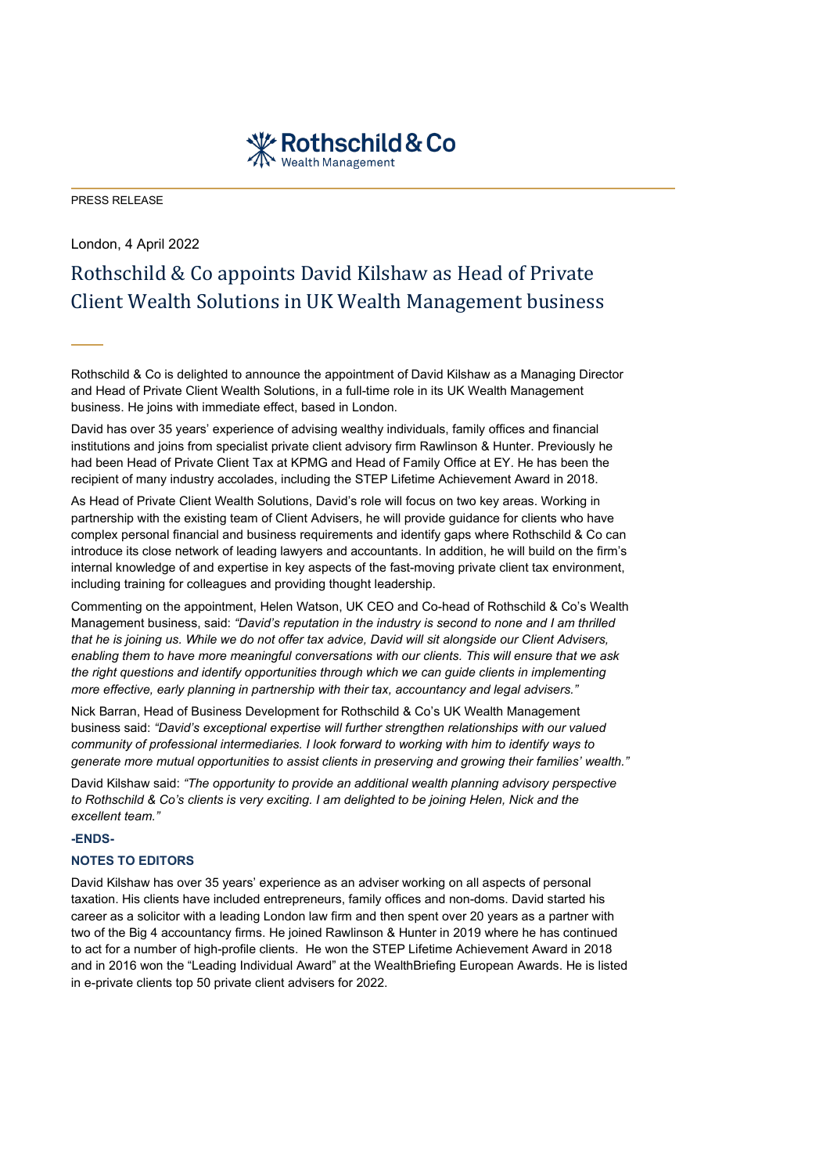

PRESS RELEASE

# London, 4 April 2022 Rothschild & Co appoints David Kilshaw as Head of Private Client Wealth Solutions in UK Wealth Management business

Rothschild & Co is delighted to announce the appointment of David Kilshaw as a Managing Director and Head of Private Client Wealth Solutions, in a full-time role in its UK Wealth Management business. He joins with immediate effect, based in London.

David has over 35 years' experience of advising wealthy individuals, family offices and financial institutions and joins from specialist private client advisory firm Rawlinson & Hunter. Previously he had been Head of Private Client Tax at KPMG and Head of Family Office at EY. He has been the recipient of many industry accolades, including the STEP Lifetime Achievement Award in 2018.

As Head of Private Client Wealth Solutions, David's role will focus on two key areas. Working in partnership with the existing team of Client Advisers, he will provide guidance for clients who have complex personal financial and business requirements and identify gaps where Rothschild & Co can introduce its close network of leading lawyers and accountants. In addition, he will build on the firm's internal knowledge of and expertise in key aspects of the fast-moving private client tax environment, including training for colleagues and providing thought leadership.

Commenting on the appointment, Helen Watson, UK CEO and Co-head of Rothschild & Co's Wealth Management business, said: *"David's reputation in the industry is second to none and I am thrilled that he is joining us. While we do not offer tax advice, David will sit alongside our Client Advisers, enabling them to have more meaningful conversations with our clients. This will ensure that we ask the right questions and identify opportunities through which we can guide clients in implementing more effective, early planning in partnership with their tax, accountancy and legal advisers."*

Nick Barran, Head of Business Development for Rothschild & Co's UK Wealth Management business said: *"David's exceptional expertise will further strengthen relationships with our valued community of professional intermediaries. I look forward to working with him to identify ways to generate more mutual opportunities to assist clients in preserving and growing their families' wealth."*

David Kilshaw said: *"The opportunity to provide an additional wealth planning advisory perspective to Rothschild & Co's clients is very exciting. I am delighted to be joining Helen, Nick and the excellent team."*

## **-ENDS-**

# **NOTES TO EDITORS**

David Kilshaw has over 35 years' experience as an adviser working on all aspects of personal taxation. His clients have included entrepreneurs, family offices and non-doms. David started his career as a solicitor with a leading London law firm and then spent over 20 years as a partner with two of the Big 4 accountancy firms. He joined Rawlinson & Hunter in 2019 where he has continued to act for a number of high-profile clients. He won the STEP Lifetime Achievement Award in 2018 and in 2016 won the "Leading Individual Award" at the WealthBriefing European Awards. He is listed in e-private clients top 50 private client advisers for 2022.